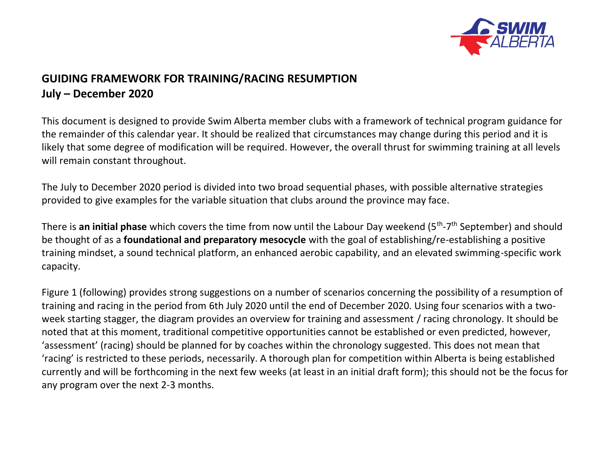

# **GUIDING FRAMEWORK FOR TRAINING/RACING RESUMPTION July – December 2020**

This document is designed to provide Swim Alberta member clubs with a framework of technical program guidance for the remainder of this calendar year. It should be realized that circumstances may change during this period and it is likely that some degree of modification will be required. However, the overall thrust for swimming training at all levels will remain constant throughout.

The July to December 2020 period is divided into two broad sequential phases, with possible alternative strategies provided to give examples for the variable situation that clubs around the province may face.

There is an initial phase which covers the time from now until the Labour Day weekend (5<sup>th</sup>-7<sup>th</sup> September) and should be thought of as a **foundational and preparatory mesocycle** with the goal of establishing/re-establishing a positive training mindset, a sound technical platform, an enhanced aerobic capability, and an elevated swimming-specific work capacity.

Figure 1 (following) provides strong suggestions on a number of scenarios concerning the possibility of a resumption of training and racing in the period from 6th July 2020 until the end of December 2020. Using four scenarios with a twoweek starting stagger, the diagram provides an overview for training and assessment / racing chronology. It should be noted that at this moment, traditional competitive opportunities cannot be established or even predicted, however, 'assessment' (racing) should be planned for by coaches within the chronology suggested. This does not mean that 'racing' is restricted to these periods, necessarily. A thorough plan for competition within Alberta is being established currently and will be forthcoming in the next few weeks (at least in an initial draft form); this should not be the focus for any program over the next 2-3 months.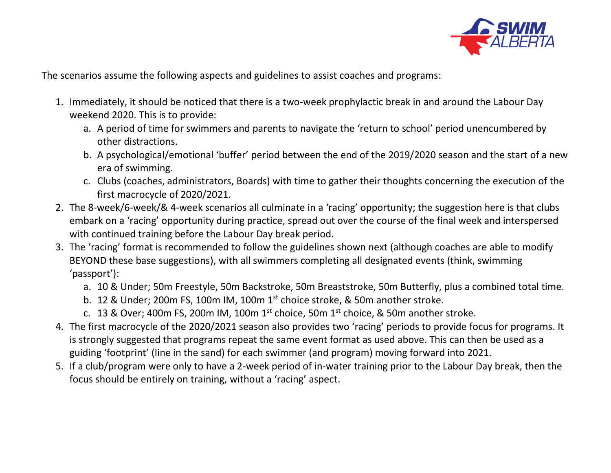

The scenarios assume the following aspects and guidelines to assist coaches and programs:

- 1. Immediately, it should be noticed that there is a two-week prophylactic break in and around the Labour Day weekend 2020. This is to provide:
	- a. A period of time for swimmers and parents to navigate the 'return to school' period unencumbered by other distractions.
	- b. A psychological/emotional 'buffer' period between the end of the 2019/2020 season and the start of a new era of swimming.
	- c. Clubs (coaches, administrators, Boards) with time to gather their thoughts concerning the execution of the first macrocycle of 2020/2021.
- 2. The 8-week/6-week/& 4-week scenarios all culminate in a 'racing' opportunity; the suggestion here is that clubs embark on a 'racing' opportunity during practice, spread out over the course of the final week and interspersed with continued training before the Labour Day break period.
- 3. The 'racing' format is recommended to follow the guidelines shown next (although coaches are able to modify BEYOND these base suggestions), with all swimmers completing all designated events (think, swimming 'passport'):
	- a. 10 & Under; 50m Freestyle, 50m Backstroke, 50m Breaststroke, 50m Butterfly, plus a combined total time.
	- b. 12 & Under; 200m FS, 100m IM, 100m 1<sup>st</sup> choice stroke, & 50m another stroke.
	- c. 13 & Over; 400m FS, 200m IM, 100m  $1<sup>st</sup>$  choice, 50m  $1<sup>st</sup>$  choice, & 50m another stroke.
- 4. The first macrocycle of the 2020/2021 season also provides two 'racing' periods to provide focus for programs. It is strongly suggested that programs repeat the same event format as used above. This can then be used as a guiding 'footprint' (line in the sand) for each swimmer (and program) moving forward into 2021.
- 5. If a club/program were only to have a 2-week period of in-water training prior to the Labour Day break, then the focus should be entirely on training, without a 'racing' aspect.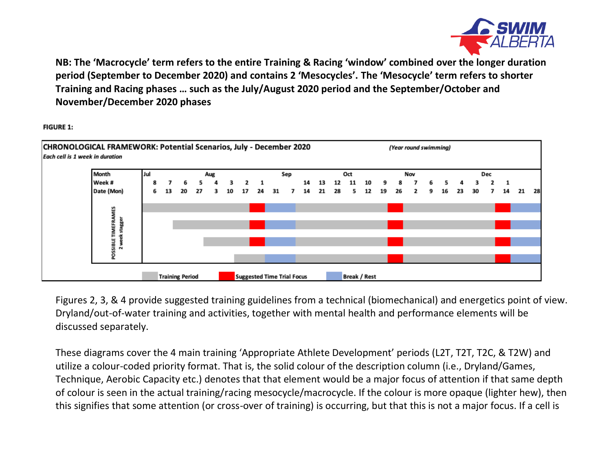

**NB: The 'Macrocycle' term refers to the entire Training & Racing 'window' combined over the longer duration period (September to December 2020) and contains 2 'Mesocycles'. The 'Mesocycle' term refers to shorter Training and Racing phases … such as the July/August 2020 period and the September/October and November/December 2020 phases**

**FIGURE 1:** 



Figures 2, 3, & 4 provide suggested training guidelines from a technical (biomechanical) and energetics point of view. Dryland/out-of-water training and activities, together with mental health and performance elements will be discussed separately.

These diagrams cover the 4 main training 'Appropriate Athlete Development' periods (L2T, T2T, T2C, & T2W) and utilize a colour-coded priority format. That is, the solid colour of the description column (i.e., Dryland/Games, Technique, Aerobic Capacity etc.) denotes that that element would be a major focus of attention if that same depth of colour is seen in the actual training/racing mesocycle/macrocycle. If the colour is more opaque (lighter hew), then this signifies that some attention (or cross-over of training) is occurring, but that this is not a major focus. If a cell is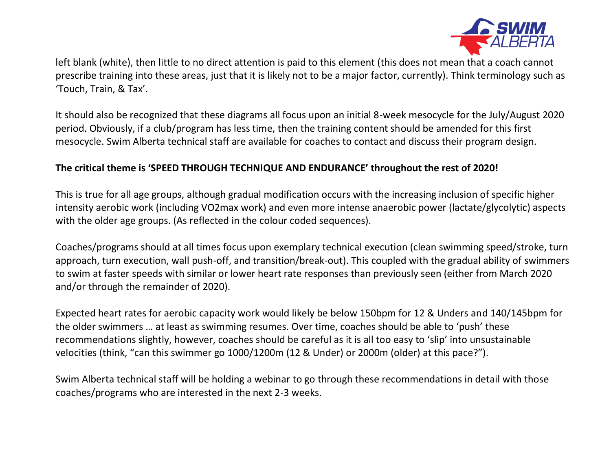

left blank (white), then little to no direct attention is paid to this element (this does not mean that a coach cannot prescribe training into these areas, just that it is likely not to be a major factor, currently). Think terminology such as 'Touch, Train, & Tax'.

It should also be recognized that these diagrams all focus upon an initial 8-week mesocycle for the July/August 2020 period. Obviously, if a club/program has less time, then the training content should be amended for this first mesocycle. Swim Alberta technical staff are available for coaches to contact and discuss their program design.

## **The critical theme is 'SPEED THROUGH TECHNIQUE AND ENDURANCE' throughout the rest of 2020!**

This is true for all age groups, although gradual modification occurs with the increasing inclusion of specific higher intensity aerobic work (including VO2max work) and even more intense anaerobic power (lactate/glycolytic) aspects with the older age groups. (As reflected in the colour coded sequences).

Coaches/programs should at all times focus upon exemplary technical execution (clean swimming speed/stroke, turn approach, turn execution, wall push-off, and transition/break-out). This coupled with the gradual ability of swimmers to swim at faster speeds with similar or lower heart rate responses than previously seen (either from March 2020 and/or through the remainder of 2020).

Expected heart rates for aerobic capacity work would likely be below 150bpm for 12 & Unders and 140/145bpm for the older swimmers … at least as swimming resumes. Over time, coaches should be able to 'push' these recommendations slightly, however, coaches should be careful as it is all too easy to 'slip' into unsustainable velocities (think, "can this swimmer go 1000/1200m (12 & Under) or 2000m (older) at this pace?").

Swim Alberta technical staff will be holding a webinar to go through these recommendations in detail with those coaches/programs who are interested in the next 2-3 weeks.